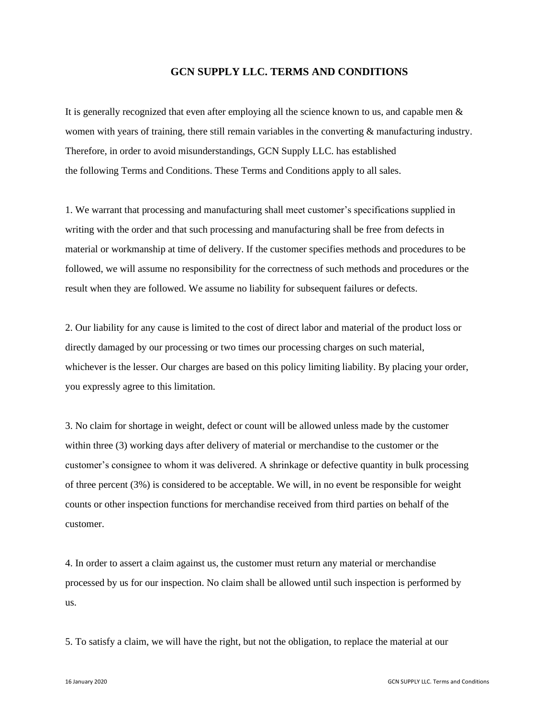## **GCN SUPPLY LLC. TERMS AND CONDITIONS**

It is generally recognized that even after employing all the science known to us, and capable men & women with years of training, there still remain variables in the converting & manufacturing industry. Therefore, in order to avoid misunderstandings, GCN Supply LLC. has established the following Terms and Conditions. These Terms and Conditions apply to all sales.

1. We warrant that processing and manufacturing shall meet customer's specifications supplied in writing with the order and that such processing and manufacturing shall be free from defects in material or workmanship at time of delivery. If the customer specifies methods and procedures to be followed, we will assume no responsibility for the correctness of such methods and procedures or the result when they are followed. We assume no liability for subsequent failures or defects.

2. Our liability for any cause is limited to the cost of direct labor and material of the product loss or directly damaged by our processing or two times our processing charges on such material, whichever is the lesser. Our charges are based on this policy limiting liability. By placing your order, you expressly agree to this limitation.

3. No claim for shortage in weight, defect or count will be allowed unless made by the customer within three (3) working days after delivery of material or merchandise to the customer or the customer's consignee to whom it was delivered. A shrinkage or defective quantity in bulk processing of three percent (3%) is considered to be acceptable. We will, in no event be responsible for weight counts or other inspection functions for merchandise received from third parties on behalf of the customer.

4. In order to assert a claim against us, the customer must return any material or merchandise processed by us for our inspection. No claim shall be allowed until such inspection is performed by us.

5. To satisfy a claim, we will have the right, but not the obligation, to replace the material at our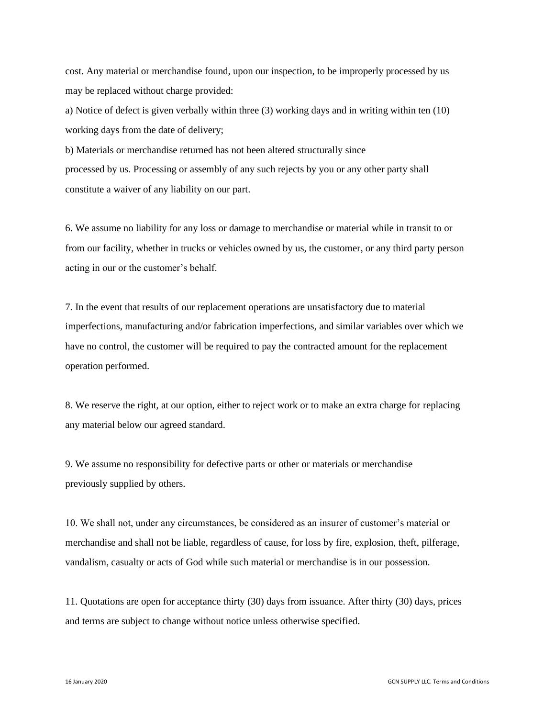cost. Any material or merchandise found, upon our inspection, to be improperly processed by us may be replaced without charge provided:

a) Notice of defect is given verbally within three (3) working days and in writing within ten (10) working days from the date of delivery;

b) Materials or merchandise returned has not been altered structurally since processed by us. Processing or assembly of any such rejects by you or any other party shall constitute a waiver of any liability on our part.

6. We assume no liability for any loss or damage to merchandise or material while in transit to or from our facility, whether in trucks or vehicles owned by us, the customer, or any third party person acting in our or the customer's behalf.

7. In the event that results of our replacement operations are unsatisfactory due to material imperfections, manufacturing and/or fabrication imperfections, and similar variables over which we have no control, the customer will be required to pay the contracted amount for the replacement operation performed.

8. We reserve the right, at our option, either to reject work or to make an extra charge for replacing any material below our agreed standard.

9. We assume no responsibility for defective parts or other or materials or merchandise previously supplied by others.

10. We shall not, under any circumstances, be considered as an insurer of customer's material or merchandise and shall not be liable, regardless of cause, for loss by fire, explosion, theft, pilferage, vandalism, casualty or acts of God while such material or merchandise is in our possession.

11. Quotations are open for acceptance thirty (30) days from issuance. After thirty (30) days, prices and terms are subject to change without notice unless otherwise specified.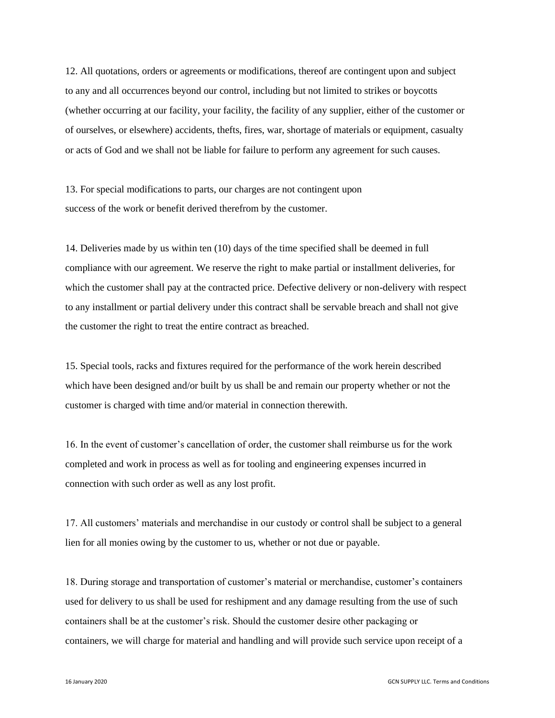12. All quotations, orders or agreements or modifications, thereof are contingent upon and subject to any and all occurrences beyond our control, including but not limited to strikes or boycotts (whether occurring at our facility, your facility, the facility of any supplier, either of the customer or of ourselves, or elsewhere) accidents, thefts, fires, war, shortage of materials or equipment, casualty or acts of God and we shall not be liable for failure to perform any agreement for such causes.

13. For special modifications to parts, our charges are not contingent upon success of the work or benefit derived therefrom by the customer.

14. Deliveries made by us within ten (10) days of the time specified shall be deemed in full compliance with our agreement. We reserve the right to make partial or installment deliveries, for which the customer shall pay at the contracted price. Defective delivery or non-delivery with respect to any installment or partial delivery under this contract shall be servable breach and shall not give the customer the right to treat the entire contract as breached.

15. Special tools, racks and fixtures required for the performance of the work herein described which have been designed and/or built by us shall be and remain our property whether or not the customer is charged with time and/or material in connection therewith.

16. In the event of customer's cancellation of order, the customer shall reimburse us for the work completed and work in process as well as for tooling and engineering expenses incurred in connection with such order as well as any lost profit.

17. All customers' materials and merchandise in our custody or control shall be subject to a general lien for all monies owing by the customer to us, whether or not due or payable.

18. During storage and transportation of customer's material or merchandise, customer's containers used for delivery to us shall be used for reshipment and any damage resulting from the use of such containers shall be at the customer's risk. Should the customer desire other packaging or containers, we will charge for material and handling and will provide such service upon receipt of a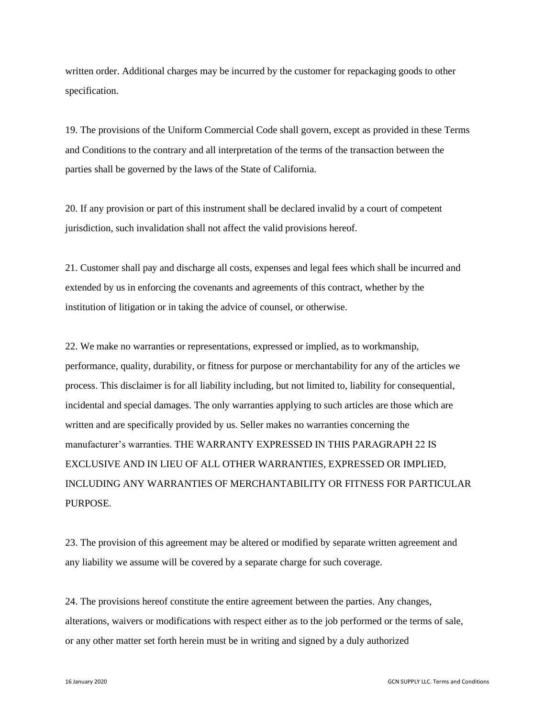written order. Additional charges may be incurred by the customer for repackaging goods to other specification.

19. The provisions of the Uniform Commercial Code shall govern, except as provided in these Terms and Conditions to the contrary and all interpretation of the terms of the transaction between the parties shall be governed by the laws of the State of California.

20. If any provision or part of this instrument shall be declared invalid by a court of competent jurisdiction, such invalidation shall not affect the valid provisions hereof.

21. Customer shall pay and discharge all costs, expenses and legal fees which shall be incurred and extended by us in enforcing the covenants and agreements of this contract, whether by the institution of litigation or in taking the advice of counsel, or otherwise.

22. We make no warranties or representations, expressed or implied, as to workmanship, performance, quality, durability, or fitness for purpose or merchantability for any of the articles we process. This disclaimer is for all liability including, but not limited to, liability for consequential, incidental and special damages. The only warranties applying to such articles are those which are written and are specifically provided by us. Seller makes no warranties concerning the manufacturer's warranties. THE WARRANTY EXPRESSED IN THIS PARAGRAPH 22 IS EXCLUSIVE AND IN LIEU OF ALL OTHER WARRANTIES, EXPRESSED OR IMPLIED, INCLUDING ANY WARRANTIES OF MERCHANTABILITY OR FITNESS FOR PARTICULAR PURPOSE.

23. The provision of this agreement may be altered or modified by separate written agreement and any liability we assume will be covered by a separate charge for such coverage.

24. The provisions hereof constitute the entire agreement between the parties. Any changes, alterations, waivers or modifications with respect either as to the job performed or the terms of sale, or any other matter set forth herein must be in writing and signed by a duly authorized